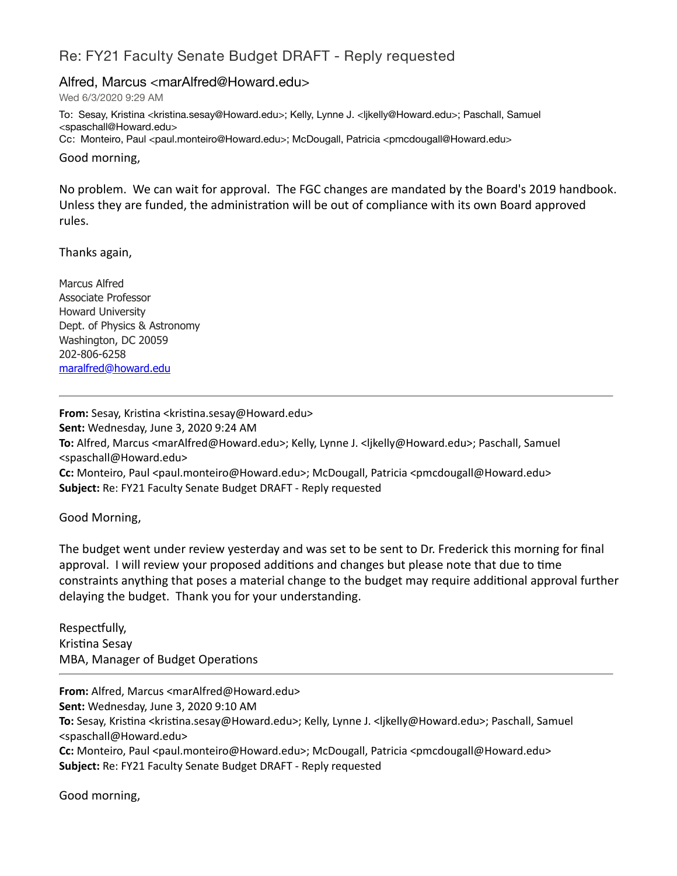## Re: FY21 Faculty Senate Budget DRAFT - Reply requested

## Alfred, Marcus <marAlfred@Howard.edu>

Wed 6/3/2020 9:29 AM

To: Sesay, Kristina <kristina.sesay@Howard.edu>; Kelly, Lynne J. <ljkelly@Howard.edu>; Paschall, Samuel <spaschall@Howard.edu> Cc: Monteiro, Paul <paul.monteiro@Howard.edu>; McDougall, Patricia <pmcdougall@Howard.edu>

Good morning,

No problem. We can wait for approval. The FGC changes are mandated by the Board's 2019 handbook. Unless they are funded, the administration will be out of compliance with its own Board approved rules.

Thanks again,

Marcus Alfred Associate Professor Howard University Dept. of Physics & Astronomy Washington, DC 20059 202-806-6258 [maralfred@howard.edu](mailto:maralfred@howard.edu)

**From:** Sesay, Kristina <kristina.sesay@Howard.edu> **Sent:** Wednesday, June 3, 2020 9:24 AM **To:** Alfred, Marcus <marAlfred@Howard.edu>; Kelly, Lynne J. <ljkelly@Howard.edu>; Paschall, Samuel <spaschall@Howard.edu> Cc: Monteiro, Paul <paul.monteiro@Howard.edu>; McDougall, Patricia <pmcdougall@Howard.edu> **Subject:** Re: FY21 Faculty Senate Budget DRAFT - Reply requested

Good Morning,

The budget went under review yesterday and was set to be sent to Dr. Frederick this morning for final approval. I will review your proposed additions and changes but please note that due to time constraints anything that poses a material change to the budget may require additional approval further delaying the budget. Thank you for your understanding.

Respectfully, Kristina Sesay MBA, Manager of Budget Operations

**From:** Alfred, Marcus <marAlfred@Howard.edu> **Sent:** Wednesday, June 3, 2020 9:10 AM **To:** Sesay, Kristina <kristina.sesay@Howard.edu>; Kelly, Lynne J. <ljkelly@Howard.edu>; Paschall, Samuel <spaschall@Howard.edu> Cc: Monteiro, Paul <paul.monteiro@Howard.edu>; McDougall, Patricia <pmcdougall@Howard.edu> **Subject:** Re: FY21 Faculty Senate Budget DRAFT - Reply requested

Good morning,